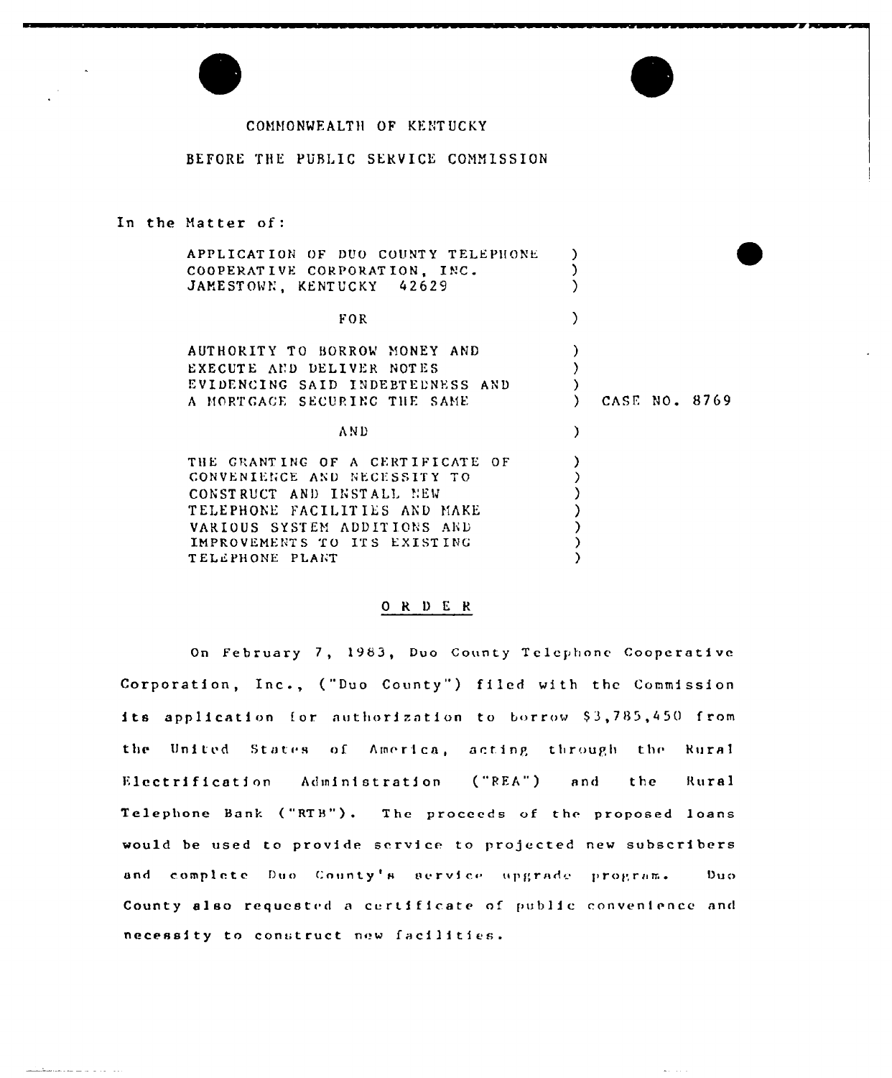

## COMMONWEALTH OF KENTUCKY

## BEFORE THE PUBLIC SERVICE COMMISSION

### In the Matter of:

| APPLICATION OF DUO COUNTY TELEPHONE<br>COOPERATIVE CORPORATION, INC.<br>JAMESTOWN, KENTUCKY 42629                                                                                                                 |               |
|-------------------------------------------------------------------------------------------------------------------------------------------------------------------------------------------------------------------|---------------|
| FOR                                                                                                                                                                                                               |               |
| AUTHORITY TO BORROW MONEY AND<br>EXECUTE AND DELIVER NOTES<br>EVIDENCING SAID INDEBTEDNESS AND<br>A MORTGAGE SECURING THE SAME                                                                                    | CASE NO. 8769 |
| A N D                                                                                                                                                                                                             |               |
| THE GRANTING OF A CERTIFICATE OF<br>CONVENIENCE AND NECESSITY TO<br>CONSTRUCT AND INSTALL NEW<br>TELEPHONE FACILITIES AND MAKE<br>VARIOUS SYSTEM ADDITIONS AND<br>IMPROVEMENTS TO ITS EXISTING<br>TELEPHONE PLANT |               |

# $\begin{array}{cccccc}\n0 & R & D & E & R\n\end{array}$

On February 7, 1983, Duo County Telephone Cooperative Corporation, Inc., ("Duo County") filed with the Commission its application for authorization to borrow \$3,785,450 from the United States of America, acting through the **Rural** Electrification Administration  $("REA")$ and the Rural Telephone Bank ("RTB"). The proceeds of the proposed loans would be used to provide service to projected new subscribers and complete Duo County's service upgrade program.  $Du$  o County also requested a certificate of public convenience and necessity to construct new facilities.

 $\omega_{\rm{max}}$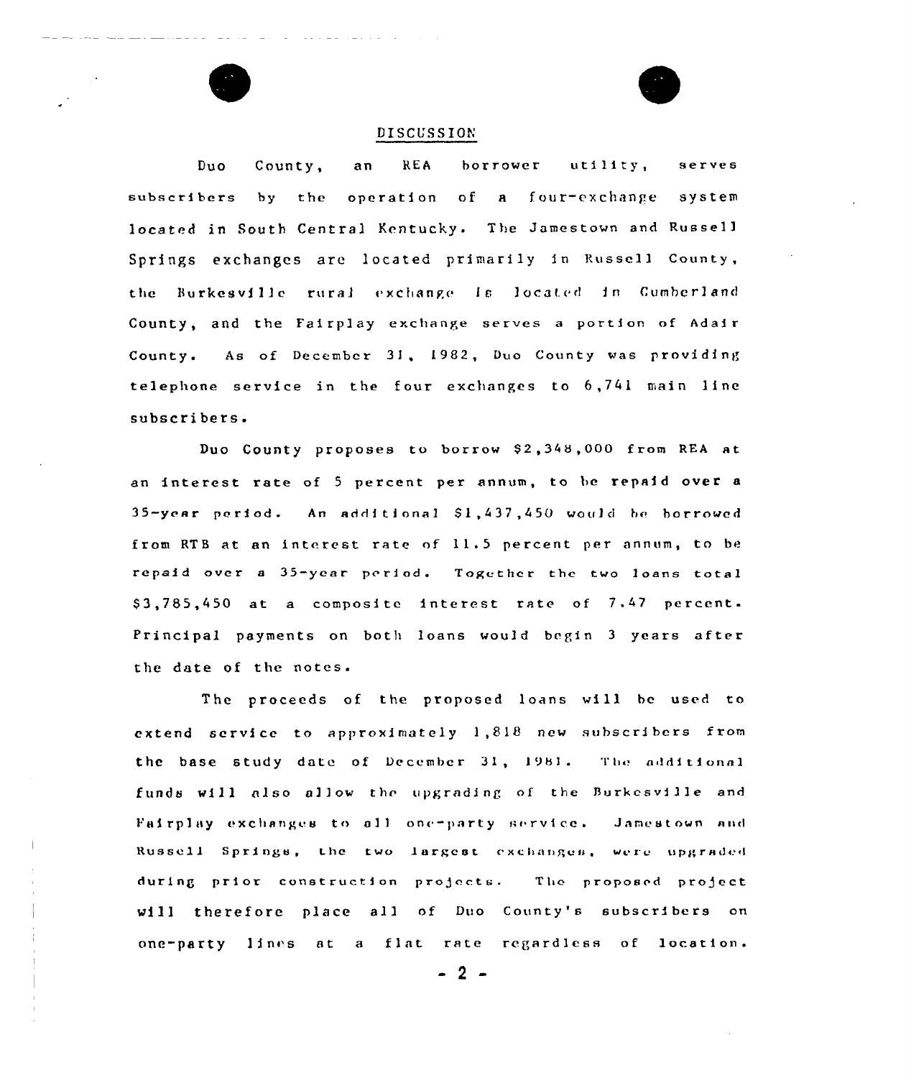### DISCUSSION

Duo County, an REA borrower utility, serves subscribers by thc operation of a four-exchange system located in South Central Kentucky. The Jamestown and Russell Springs exchanges arc located primarily in Russell County, the Burkesville rural exchange is located in Cumberland County, and the Fairplay exchange serves <sup>a</sup> portion of Adair County <sup>~</sup> As of December 31, 1982, Duo County was providing telephone service in the four exchanges to 6,741 main line subscribers.

Duo County proposes to borrow \$2,348,000 from REA at an interest rate of <sup>5</sup> percent per annum, to be repaid over <sup>a</sup> 35-year period. An additional \$1,437,450 would be borrowed from RTB at an interest rate of 11.5 percent per annum, to be repaid over <sup>a</sup> 35—year prriod. Together the two loans total \$3,785,450 at a composite interest rate of 7.47 percent. Principal payments on both loans would begin <sup>3</sup> years after the date of the notes.

The proceeds of the proposed loans will bc used to extend service to approximately 1,818 new subscribers from the base study date of December 31, 1981. The additional funds will also allow the upgrading of the Burkcsville and Fairplay exchanges to all one-party service. Jamestown and Russell Springs, the two largest exchanges, were upgraded during prior construction projects. The proposed project will therefore place all of Duo County's subscribers on one-party lines at a flat rate regardless of location.

 $-2-$ 

 $\frac{1}{2}$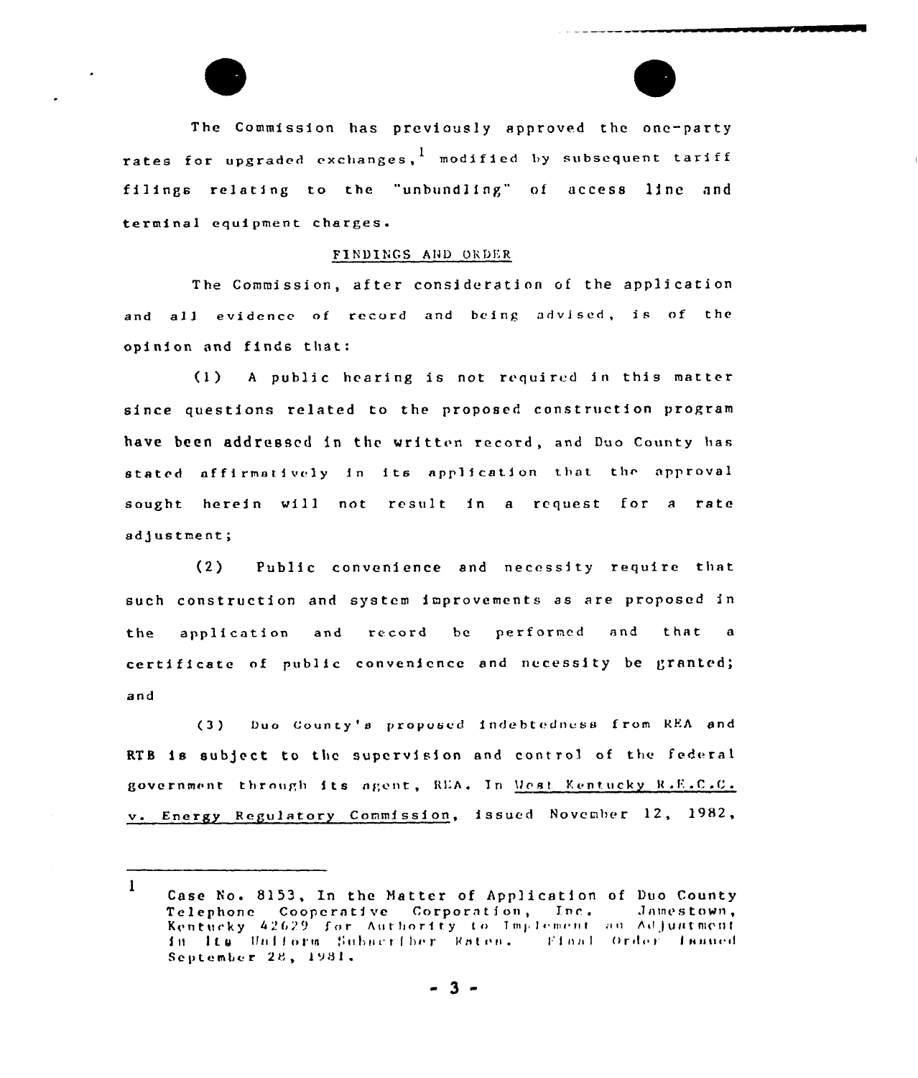The Commission has previously approved the one-party rates for upgraded exchanges, I modified by subsequent tariff filings relating to the "unbundling" of access line and terminal equipment charges.

#### FINDINGS AND ORDER

The Commission, after consideration of the application and all evidence of record and being advised, is of the opinion and finds that:

 $(1)$ A public hearing is not required in this matter since questions related to the proposed construction program have been addressed in the written record, and Duo County has stated affirmatively in its application that the approval sought herein will not result in a request for a rate adjustment;

 $(2)$ Public convenience and necessity require that such construction and system improvements as are proposed in the application and record  $b$  e performed and that a certificate of public convenience and necessity be granted; and

Duo County's proposed indebtedness from REA and  $(3)$ RTB is subject to the supervision and control of the federal government through its agent, REA. In West Kentucky R.E.C.C. v. Energy Regulatory Commission, issued November 12, 1982,

 $\mathbf{1}$ Case No. 8153, In the Matter of Application of Duo County Telephone Cooperative Corporation, Inc. Jamestown, Kentucky 42629 for Authority to Implement au Adjustment September 28, 1981.